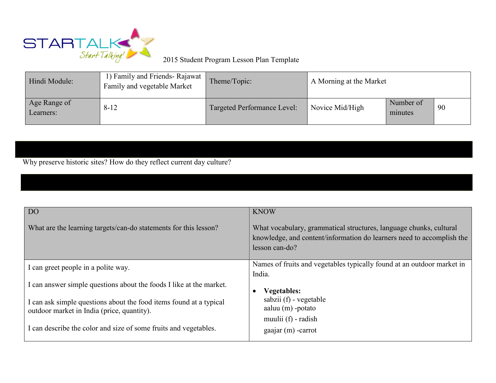

## 2015 Student Program Lesson Plan Template

| Hindi Module:             | 1) Family and Friends-Rajawat<br>Family and vegetable Market | Theme/Topic:                | A Morning at the Market |                      |    |
|---------------------------|--------------------------------------------------------------|-----------------------------|-------------------------|----------------------|----|
| Age Range of<br>Learners: | $8 - 12$                                                     | Targeted Performance Level: | Novice Mid/High         | Number of<br>minutes | 90 |

Why preserve historic sites? How do they reflect current day culture?

| <b>DO</b>                                                                                                        | <b>KNOW</b>                                                                                                                                                   |
|------------------------------------------------------------------------------------------------------------------|---------------------------------------------------------------------------------------------------------------------------------------------------------------|
| What are the learning targets/can-do statements for this lesson?                                                 | What vocabulary, grammatical structures, language chunks, cultural<br>knowledge, and content/information do learners need to accomplish the<br>lesson can-do? |
| I can greet people in a polite way.                                                                              | Names of fruits and vegetables typically found at an outdoor market in<br>India.                                                                              |
| I can answer simple questions about the foods I like at the market.                                              | <b>Vegetables:</b>                                                                                                                                            |
| I can ask simple questions about the food items found at a typical<br>outdoor market in India (price, quantity). | sabzii (f) - vegetable<br>aaluu $(m)$ -potato<br>muulii (f) - radish                                                                                          |
| I can describe the color and size of some fruits and vegetables.                                                 | $gaajar(m)$ -carrot                                                                                                                                           |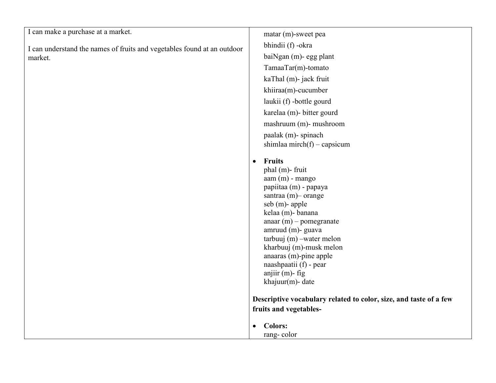I can understand the names of fruits and vegetables found at an outdoor market.

matar (m)-sweet pea bhindii (f) -okra baiNgan (m)- egg plant TamaaTar(m)-tomato kaThal (m)- jack fruit khiiraa(m)-cucumber laukii (f) -bottle gourd karelaa (m)- bitter gourd mashruum (m)- mushroom paalak (m)- spinach shimlaa mirch(f) – capsicum

## **Fruits**

phal (m)- fruit aam (m) - mango papiitaa (m) - papaya santraa (m)– orange seb (m)- apple kelaa (m)- banana anaar (m) – pomegranate amruud (m)- guava tarbuuj (m) –water melon kharbuuj (m)-musk melon anaaras (m)-pine apple naashpaatii (f) - pear anjiir (m)- fig khajuur(m)- date

**Descriptive vocabulary related to color, size, and taste of a few fruits and vegetables-**

- **Colors:**
	- rang- color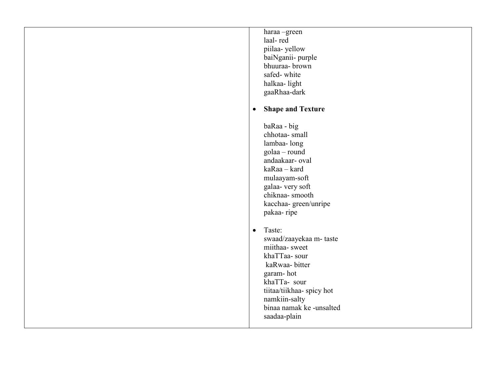| haraa -green              |  |
|---------------------------|--|
| laal-red                  |  |
| piilaa-yellow             |  |
| baiNganii- purple         |  |
| bhuuraa- brown            |  |
| safed-white               |  |
| halkaa-light              |  |
| gaaRhaa-dark              |  |
| <b>Shape and Texture</b>  |  |
| baRaa - big               |  |
| chhotaa- small            |  |
| lambaa-long               |  |
| golaa – round             |  |
| andaakaar- oval           |  |
| kaRaa – kard              |  |
| mulaayam-soft             |  |
| galaa- very soft          |  |
| chiknaa-smooth            |  |
| kacchaa-green/unripe      |  |
| pakaa-ripe                |  |
| Taste:                    |  |
| swaad/zaayekaa m- taste   |  |
| miithaa-sweet             |  |
| khaTTaa-sour              |  |
| kaRwaa-bitter             |  |
| garam-hot                 |  |
| khaTTa- sour              |  |
| tiitaa/tiikhaa- spicy hot |  |
| namkiin-salty             |  |
| binaa namak ke -unsalted  |  |
| saadaa-plain              |  |
|                           |  |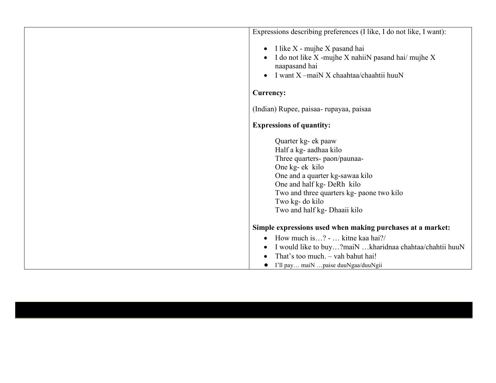| Expressions describing preferences (I like, I do not like, I want):                                                                                                                                                                                               |  |
|-------------------------------------------------------------------------------------------------------------------------------------------------------------------------------------------------------------------------------------------------------------------|--|
| I like X - mujhe X pasand hai<br>$\bullet$<br>I do not like X -mujhe X nahiiN pasand hai/ mujhe X<br>naapasand hai<br>I want X -maiN X chaahtaa/chaahtii huuN                                                                                                     |  |
| Currency:                                                                                                                                                                                                                                                         |  |
| (Indian) Rupee, paisaa-rupayaa, paisaa                                                                                                                                                                                                                            |  |
| <b>Expressions of quantity:</b>                                                                                                                                                                                                                                   |  |
| Quarter kg- ek paaw<br>Half a kg- aadhaa kilo<br>Three quarters- paon/paunaa-<br>One kg- ek kilo<br>One and a quarter kg-sawaa kilo<br>One and half kg- DeRh kilo<br>Two and three quarters kg- paone two kilo<br>Two kg- do kilo<br>Two and half kg- Dhaaii kilo |  |
| Simple expressions used when making purchases at a market:                                                                                                                                                                                                        |  |
| How much is? -  kitne kaa hai?/<br>$\bullet$<br>I would like to buy?maiN kharidnaa chahtaa/chahtii huuN<br>That's too much. - vah bahut hai!<br>I'll pay maiN  paise duuNgaa/duuNgii<br>$\bullet$                                                                 |  |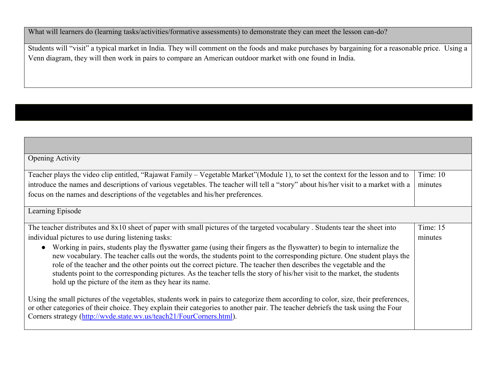What will learners do (learning tasks/activities/formative assessments) to demonstrate they can meet the lesson can-do?

Students will "visit" a typical market in India. They will comment on the foods and make purchases by bargaining for a reasonable price. Using a Venn diagram, they will then work in pairs to compare an American outdoor market with one found in India.

| <b>Opening Activity</b>                                                                                                                                                                                                                                                                                                                                                                                                                                                                                                                                         |            |  |
|-----------------------------------------------------------------------------------------------------------------------------------------------------------------------------------------------------------------------------------------------------------------------------------------------------------------------------------------------------------------------------------------------------------------------------------------------------------------------------------------------------------------------------------------------------------------|------------|--|
| Teacher plays the video clip entitled, "Rajawat Family – Vegetable Market" (Module 1), to set the context for the lesson and to                                                                                                                                                                                                                                                                                                                                                                                                                                 | Time: $10$ |  |
| introduce the names and descriptions of various vegetables. The teacher will tell a "story" about his/her visit to a market with a                                                                                                                                                                                                                                                                                                                                                                                                                              |            |  |
| focus on the names and descriptions of the vegetables and his/her preferences.                                                                                                                                                                                                                                                                                                                                                                                                                                                                                  |            |  |
| Learning Episode                                                                                                                                                                                                                                                                                                                                                                                                                                                                                                                                                |            |  |
| The teacher distributes and 8x10 sheet of paper with small pictures of the targeted vocabulary. Students tear the sheet into                                                                                                                                                                                                                                                                                                                                                                                                                                    | Time: $15$ |  |
| individual pictures to use during listening tasks:                                                                                                                                                                                                                                                                                                                                                                                                                                                                                                              | minutes    |  |
| Working in pairs, students play the flyswatter game (using their fingers as the flyswatter) to begin to internalize the<br>new vocabulary. The teacher calls out the words, the students point to the corresponding picture. One student plays the<br>role of the teacher and the other points out the correct picture. The teacher then describes the vegetable and the<br>students point to the corresponding pictures. As the teacher tells the story of his/her visit to the market, the students<br>hold up the picture of the item as they hear its name. |            |  |
| Using the small pictures of the vegetables, students work in pairs to categorize them according to color, size, their preferences,<br>or other categories of their choice. They explain their categories to another pair. The teacher debriefs the task using the Four<br>Corners strategy (http://wvde.state.wv.us/teach21/FourCorners.html).                                                                                                                                                                                                                  |            |  |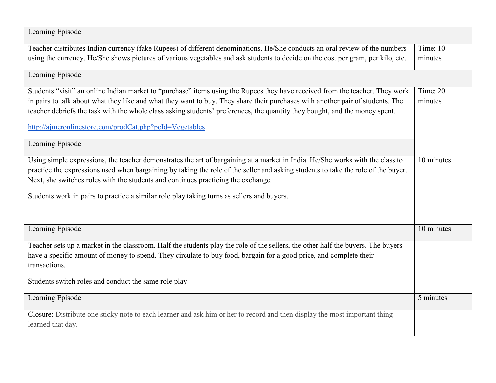| Learning Episode                                                                                                                  |            |  |
|-----------------------------------------------------------------------------------------------------------------------------------|------------|--|
| Teacher distributes Indian currency (fake Rupees) of different denominations. He/She conducts an oral review of the numbers       | Time: $10$ |  |
| using the currency. He/She shows pictures of various vegetables and ask students to decide on the cost per gram, per kilo, etc.   | minutes    |  |
| Learning Episode                                                                                                                  |            |  |
| Students "visit" an online Indian market to "purchase" items using the Rupees they have received from the teacher. They work      | Time: 20   |  |
| in pairs to talk about what they like and what they want to buy. They share their purchases with another pair of students. The    |            |  |
| teacher debriefs the task with the whole class asking students' preferences, the quantity they bought, and the money spent.       |            |  |
| http://ajmeronlinestore.com/prodCat.php?pcId=Vegetables                                                                           |            |  |
| Learning Episode                                                                                                                  |            |  |
| Using simple expressions, the teacher demonstrates the art of bargaining at a market in India. He/She works with the class to     | 10 minutes |  |
| practice the expressions used when bargaining by taking the role of the seller and asking students to take the role of the buyer. |            |  |
| Next, she switches roles with the students and continues practicing the exchange.                                                 |            |  |
| Students work in pairs to practice a similar role play taking turns as sellers and buyers.                                        |            |  |
|                                                                                                                                   |            |  |
| Learning Episode                                                                                                                  | 10 minutes |  |
| Teacher sets up a market in the classroom. Half the students play the role of the sellers, the other half the buyers. The buyers  |            |  |
| have a specific amount of money to spend. They circulate to buy food, bargain for a good price, and complete their                |            |  |
| transactions.                                                                                                                     |            |  |
| Students switch roles and conduct the same role play                                                                              |            |  |
| Learning Episode                                                                                                                  | 5 minutes  |  |
| Closure: Distribute one sticky note to each learner and ask him or her to record and then display the most important thing        |            |  |
| learned that day.                                                                                                                 |            |  |